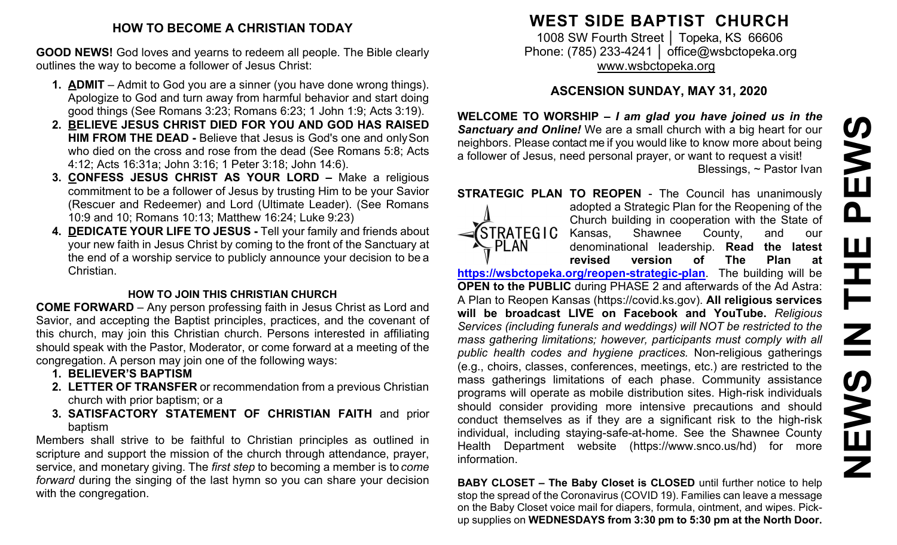## **HOW TO BECOME A CHRISTIAN TODAY**

**GOOD NEWS!** God loves and yearns to redeem all people. The Bible clearly outlines the way to become a follower of Jesus Christ:

- **1. ADMIT**  Admit to God you are a sinner (you have done wrong things). Apologize to God and turn away from harmful behavior and start doing good things (See Romans 3:23; Romans 6:23; 1 John 1:9; Acts 3:19).
- **2. BELIEVE JESUS CHRIST DIED FOR YOU AND GOD HAS RAISED HIM FROM THE DEAD -** Believe that Jesus is God's one and onlySon who died on the cross and rose from the dead (See Romans 5:8; Acts 4:12; Acts 16:31a; John 3:16; 1 Peter 3:18; John 14:6).
- **3. CONFESS JESUS CHRIST AS YOUR LORD –** Make a religious commitment to be a follower of Jesus by trusting Him to be your Savior (Rescuer and Redeemer) and Lord (Ultimate Leader). (See Romans 10:9 and 10; Romans 10:13; Matthew 16:24; Luke 9:23)
- **4. DEDICATE YOUR LIFE TO JESUS -** Tell your family and friends about your new faith in Jesus Christ by coming to the front of the Sanctuary at the end of a worship service to publicly announce your decision to be a Christian.

# **HOW TO JOIN THIS CHRISTIAN CHURCH**

**COME FORWARD** – Any person professing faith in Jesus Christ as Lord and Savior, and accepting the Baptist principles, practices, and the covenant of this church, may join this Christian church. Persons interested in affiliating should speak with the Pastor, Moderator, or come forward at a meeting of the congregation. A person may join one of the following ways:

- **1. BELIEVER'S BAPTISM**
- **2. LETTER OF TRANSFER** or recommendation from a previous Christian church with prior baptism; or a
- **3. SATISFACTORY STATEMENT OF CHRISTIAN FAITH** and prior baptism

Members shall strive to be faithful to Christian principles as outlined in scripture and support the mission of the church through attendance, prayer, service, and monetary giving. The *first step* to becoming a member is to *come forward* during the singing of the last hymn so you can share your decision with the congregation.

# **WEST SIDE BAPTIST CHURCH**

1008 SW Fourth Street | Topeka, KS 66606 Phone: (785) 233-4241 │ [office@wsbctopeka.org](mailto:office@wsbctopeka.org) [www.wsbctopeka.org](http://www.wsbctopeka.org/)

# **ASCENSION SUNDAY, MAY 31, 2020**

**WELCOME TO WORSHIP –** *I am glad you have joined us in the Sanctuary and Online!* We are a small church with a big heart for our neighbors. Please contact me if you would like to know more about being a follower of Jesus, need personal prayer, or want to request a visit! Blessings, ~ Pastor Ivan

**STRATEGIC PLAN TO REOPEN - The Council has unanimously** 



adopted a Strategic Plan for the Reopening of the Church building in cooperation with the State of Kansas, Shawnee County, and our denominational leadership. **Read the latest revised version of The Plan at**

**<https://wsbctopeka.org/reopen-strategic-plan>**. The building will be **OPEN to the PUBLIC** during PHASE 2 and afterwards of the Ad Astra: A Plan to Reopen Kansas (https://covid.ks.gov). **All religious services will be broadcast LIVE on Facebook and YouTube.** *Religious Services (including funerals and weddings) will NOT be restricted to the mass gathering limitations; however, participants must comply with all public health codes and hygiene practices.* Non-religious gatherings (e.g., choirs, classes, conferences, meetings, etc.) are restricted to the mass gatherings limitations of each phase. Community assistance programs will operate as mobile distribution sites. High-risk individuals should consider providing more intensive precautions and should conduct themselves as if they are a significant risk to the high-risk individual, including staying-safe-at-home. See the Shawnee County Health Department website (https://www.snco.us/hd) for more information.

**BABY CLOSET – The Baby Closet is CLOSED** until further notice to help stop the spread of the Coronavirus (COVID 19). Families can leave a message on the Baby Closet voice mail for diapers, formula, ointment, and wipes. Pickup supplies on **WEDNESDAYS from 3:30 pm to 5:30 pm at the North Door.**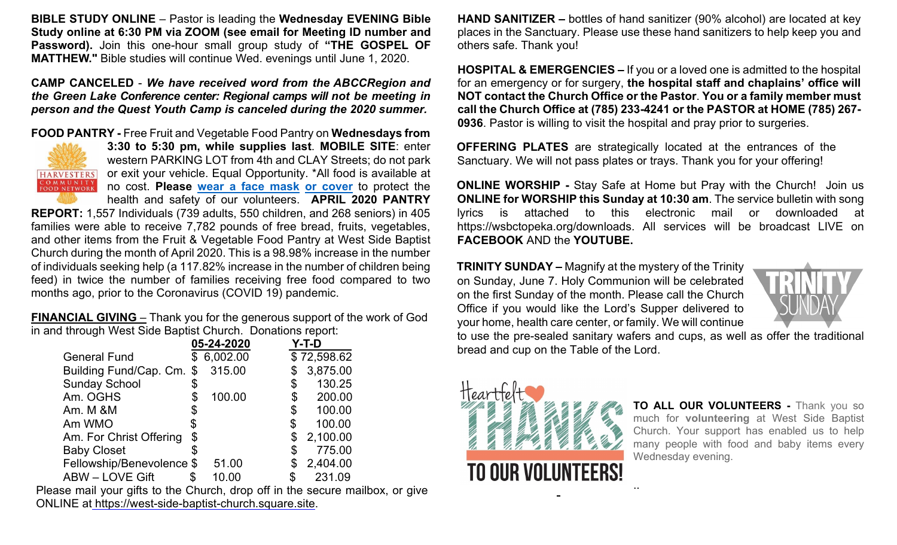**BIBLE STUDY ONLINE** – Pastor is leading the **Wednesday EVENING Bible Study online at 6:30 PM via ZOOM (see email for Meeting ID number and Password).** Join this one-hour small group study of **"THE GOSPEL OF MATTHEW."** Bible studies will continue Wed. evenings until June 1, 2020.

**CAMP CANCELED** - *We have received word from the ABCCRegion and the Green Lake Conference center: Regional camps will not be meeting in person and the Quest Youth Camp is canceled during the 2020 summer.* 

**FOOD PANTRY -** Free Fruit and Vegetable Food Pantry on **Wednesdays from** 



**3:30 to 5:30 pm, while supplies last**. **MOBILE SITE**: enter western PARKING LOT from 4th and CLAY Streets; do not park or exit your vehicle. Equal Opportunity. \*All food is available at no cost. **Please [wear a face mask](https://www.cdc.gov/coronavirus/2019-ncov/prevent-getting-sick/diy-cloth-face-coverings.html) [or cover](https://www.cdc.gov/coronavirus/2019-ncov/prevent-getting-sick/diy-cloth-face-coverings.html)** to protect the health and safety of our volunteers. **APRIL 2020 PANTRY** 

**REPORT:** 1,557 Individuals (739 adults, 550 children, and 268 seniors) in 405 families were able to receive 7,782 pounds of free bread, fruits, vegetables, and other items from the Fruit & Vegetable Food Pantry at West Side Baptist Church during the month of April 2020. This is a 98.98% increase in the number of individuals seeking help (a 117.82% increase in the number of children being feed) in twice the number of families receiving free food compared to two months ago, prior to the Coronavirus (COVID 19) pandemic.

**FINANCIAL GIVING** – Thank you for the generous support of the work of God in and through West Side Baptist Church. Donations report:

|                           | 05-24-2020     | Y-T-D          |
|---------------------------|----------------|----------------|
| <b>General Fund</b>       | \$<br>6,002.00 | \$72,598.62    |
| Building Fund/Cap. Cm.    | \$<br>315.00   | \$<br>3,875.00 |
| <b>Sunday School</b>      | \$             | \$<br>130.25   |
| Am. OGHS                  | \$<br>100.00   | \$<br>200.00   |
| Am. M &M                  | \$             | \$<br>100.00   |
| Am WMO                    | \$             | \$<br>100.00   |
| Am. For Christ Offering   | \$             | \$<br>2,100.00 |
| <b>Baby Closet</b>        |                | \$<br>775.00   |
| Fellowship/Benevolence \$ | 51.00          | \$<br>2,404.00 |
| <b>ABW - LOVE Gift</b>    | 10.00          | \$<br>231.09   |

Please mail your gifts to the Church, drop off in the secure mailbox, or give ONLINE at [https://west-side-baptist-church.square.site.](https://west-side-baptist-church.square.site/)

**HAND SANITIZER –** bottles of hand sanitizer (90% alcohol) are located at key places in the Sanctuary. Please use these hand sanitizers to help keep you and others safe. Thank you!

**HOSPITAL & EMERGENCIES –** If you or a loved one is admitted to the hospital for an emergency or for surgery, **the hospital staff and chaplains' office will NOT contact the Church Office or the Pastor**. **You or a family member must call the Church Office at (785) 233-4241 or the PASTOR at HOME (785) 267- 0936**. Pastor is willing to visit the hospital and pray prior to surgeries.

**OFFERING PLATES** are strategically located at the entrances of the Sanctuary. We will not pass plates or trays. Thank you for your offering!

**ONLINE WORSHIP -** Stay Safe at Home but Pray with the Church! Join us **ONLINE for WORSHIP this Sunday at 10:30 am**. The service bulletin with song lyrics is attached to this electronic mail or downloaded at https://wsbctopeka.org/downloads. All services will be broadcast LIVE on **FACEBOOK** AND the **YOUTUBE.** 

**TRINITY SUNDAY –** Magnify at the mystery of the Trinity on Sunday, June 7. Holy Communion will be celebrated on the first Sunday of the month. Please call the Church Office if you would like the Lord's Supper delivered to your home, health care center, or family. We will continue



to use the pre-sealed sanitary wafers and cups, as well as offer the traditional bread and cup on the Table of the Lord.

..



**TO ALL OUR VOLUNTEERS -** Thank you so much for **volunteering** at West Side Baptist Church. Your support has enabled us to help many people with food and baby items every Wednesday evening.